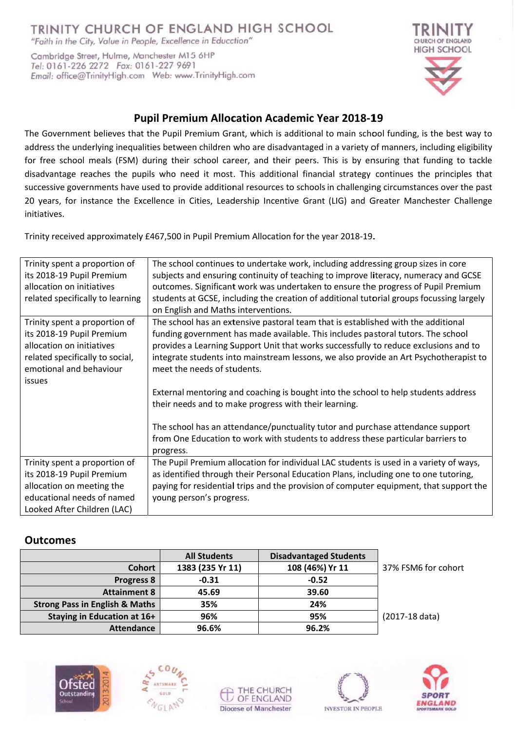# TRINITY CHURCH OF ENGLAND HIGH SCHOOL

"Faith in the City, Value in People, Excellence in Education"

Cambridge Street, Hulme, Manchester M15 6HP Tel: 0161-226 2272 Fax: 0161-227 9691 



## **Pupil Premium Allocation Academic Year 2018-19**

The Government believes that the Pupil Premium Grant, which is additional to main school funding, is the best way to address the underlying inequalities between children who are disadvantaged in a variety of manners, including eligibility for free school meals (FSM) during their school career, and their peers. This is by ensuring that funding to tackle disadvantage reaches the pupils who need it most. This additional financial strategy continues the principles that successive governments have used to provide additional resources to schools in challenging circumstances over the past 20 years, for instance the Excellence in Cities, Leadership Incentive Grant (LIG) and Greater Manchester Challenge initiatives.

Trinity received approximately £467,500 in Pupil Premium Allocation for the year 2018-19.

| Trinity spent a proportion of    | The school continues to undertake work, including addressing group sizes in core         |  |  |  |  |
|----------------------------------|------------------------------------------------------------------------------------------|--|--|--|--|
| its 2018-19 Pupil Premium        | subjects and ensuring continuity of teaching to improve literacy, numeracy and GCSE      |  |  |  |  |
| allocation on initiatives        | outcomes. Significant work was undertaken to ensure the progress of Pupil Premium        |  |  |  |  |
| related specifically to learning | students at GCSE, including the creation of additional tutorial groups focussing largely |  |  |  |  |
|                                  | on English and Maths interventions.                                                      |  |  |  |  |
| Trinity spent a proportion of    | The school has an extensive pastoral team that is established with the additional        |  |  |  |  |
| its 2018-19 Pupil Premium        | funding government has made available. This includes pastoral tutors. The school         |  |  |  |  |
| allocation on initiatives        | provides a Learning Support Unit that works successfully to reduce exclusions and to     |  |  |  |  |
| related specifically to social,  | integrate students into mainstream lessons, we also provide an Art Psychotherapist to    |  |  |  |  |
| emotional and behaviour          | meet the needs of students.                                                              |  |  |  |  |
| issues                           |                                                                                          |  |  |  |  |
|                                  | External mentoring and coaching is bought into the school to help students address       |  |  |  |  |
|                                  | their needs and to make progress with their learning.                                    |  |  |  |  |
|                                  |                                                                                          |  |  |  |  |
|                                  | The school has an attendance/punctuality tutor and purchase attendance support           |  |  |  |  |
|                                  | from One Education to work with students to address these particular barriers to         |  |  |  |  |
|                                  | progress.                                                                                |  |  |  |  |
| Trinity spent a proportion of    | The Pupil Premium allocation for individual LAC students is used in a variety of ways,   |  |  |  |  |
| its 2018-19 Pupil Premium        | as identified through their Personal Education Plans, including one to one tutoring,     |  |  |  |  |
| allocation on meeting the        | paying for residential trips and the provision of computer equipment, that support the   |  |  |  |  |
| educational needs of named       | young person's progress.                                                                 |  |  |  |  |
| Looked After Children (LAC)      |                                                                                          |  |  |  |  |

### **Outcomes**

|                                           | <b>All Students</b> | <b>Disadvantaged Students</b> |                     |
|-------------------------------------------|---------------------|-------------------------------|---------------------|
| <b>Cohort</b>                             | 1383 (235 Yr 11)    | 108 (46%) Yr 11               | 37% FSM6 for cohort |
| <b>Progress 8</b>                         | $-0.31$             | $-0.52$                       |                     |
| <b>Attainment 8</b>                       | 45.69               | 39.60                         |                     |
| <b>Strong Pass in English &amp; Maths</b> | 35%                 | 24%                           |                     |
| Staying in Education at 16+               | 96%                 | 95%                           | (2017-18 data)      |
| <b>Attendance</b>                         | 96.6%               | 96.2%                         |                     |